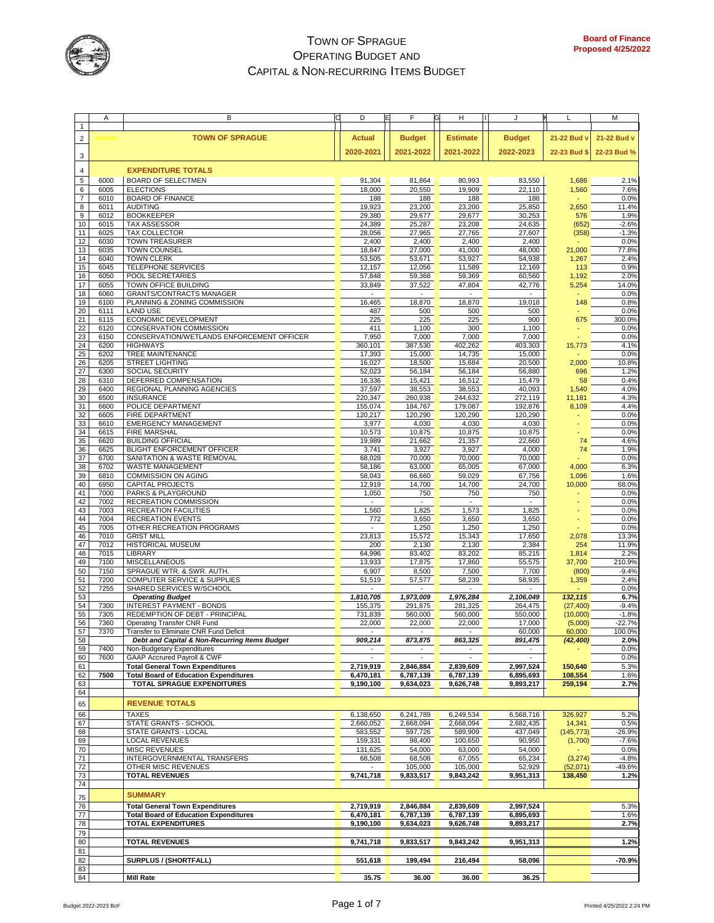

|                | Α       | в                                             | D                           | F                        | н<br>G          | J             | L            | М           |
|----------------|---------|-----------------------------------------------|-----------------------------|--------------------------|-----------------|---------------|--------------|-------------|
| $\mathbf{1}$   |         |                                               |                             |                          |                 |               |              |             |
| 2              | /1/2019 | <b>TOWN OF SPRAGUE</b>                        | Actual                      | <b>Budget</b>            | <b>Estimate</b> | <b>Budget</b> | 21-22 Bud v  | 21-22 Bud v |
|                |         |                                               |                             |                          |                 |               |              |             |
| 3              |         |                                               | 2020-2021                   | 2021-2022                | 2021-2022       | 2022-2023     | 22-23 Bud \$ | 22-23 Bud % |
|                |         |                                               |                             |                          |                 |               |              |             |
| $\overline{4}$ |         | <b>EXPENDITURE TOTALS</b>                     |                             |                          |                 |               |              |             |
| $\sqrt{5}$     | 6000    | <b>BOARD OF SELECTMEN</b>                     | 91,304                      | 81.864                   | 80,993          | 83,550        | 1,686        | 2.1%        |
| 6              | 6005    | <b>ELECTIONS</b>                              | 18.000                      | 20,550                   | 19,909          | 22,110        | 1,560        | 7.6%        |
| 7              | 6010    | <b>BOARD OF FINANCE</b>                       | 188                         | 188                      | 188             | 188           |              | 0.0%        |
| 8              | 6011    | <b>AUDITING</b>                               | 19,923                      | 23,200                   | 23,200          | 25,850        | 2,650        | 11.4%       |
| 9              | 6012    | <b>BOOKKEEPER</b>                             | 29,380                      | 29,677                   | 29,677          | 30,253        | 576          | 1.9%        |
| 10             | 6015    | TAX ASSESSOR                                  | 24,389                      | 25,287                   | 23,208          | 24,635        | (652)        | $-2.6%$     |
| 11             | 6025    | <b>TAX COLLECTOR</b>                          | 28,056                      | 27,965                   | 27,765          | 27,607        | (358)        | $-1.3%$     |
| 12             | 6030    | <b>TOWN TREASURER</b>                         | 2,400                       | 2,400                    | 2,400           | 2,400         |              | 0.0%        |
| 13             | 6035    | <b>TOWN COUNSEL</b>                           | 18,847                      | 27,000                   | 41,000          | 48,000        | 21,000       | 77.8%       |
| 14             | 6040    | <b>TOWN CLERK</b>                             | 53,505                      | 53,671                   | 53,927          | 54,938        | 1,267        | 2.4%        |
| 15             | 6045    | TELEPHONE SERVICES                            | 12,157                      | 12,056                   | 11,589          | 12,169        | 113          | 0.9%        |
| 16             | 6050    | POOL SECRETARIES                              | 57,848                      | 59,368                   | 59,369          | 60,560        | 1,192        | 2.0%        |
| 17             | 6055    | TOWN OFFICE BUILDING                          | 33,849                      | 37,522                   | 47,804          | 42,776        | 5,254        | 14.0%       |
| 18             | 6060    | <b>GRANTS/CONTRACTS MANAGER</b>               |                             |                          |                 |               |              | 0.0%        |
| 19             | 6100    | PLANNING & ZONING COMMISSION                  | 16,465                      | 18,870                   | 18,870          | 19,018        | 148          | 0.8%        |
| 20             | 6111    | <b>LAND USE</b>                               | 487                         | 500                      | 500             | 500           |              | 0.0%        |
| 21             | 6115    | ECONOMIC DEVELOPMENT                          | 225                         | 225                      | 225             | 900           | 675          | 300.0%      |
| 22             | 6120    | <b>CONSERVATION COMMISSION</b>                | 411                         | 1,100                    | 300             | 1,100         |              | 0.0%        |
| 23             | 6150    | CONSERVATION/WETLANDS ENFORCEMENT OFFICER     | 7,950                       | 7,000                    | 7,000           | 7,000         |              | 0.0%        |
| 24             | 6200    | <b>HIGHWAYS</b>                               | 360,101                     | 387,530                  | 402,262         | 403,303       | 15,773       | 4.1%        |
| 25             | 6202    | TREE MAINTENANCE                              | 17,393                      | 15,000                   | 14,735          | 15,000        |              | 0.0%        |
| 26             | 6205    | STREET LIGHTING                               | 16,027                      | 18,500                   | 15.684          | 20,500        | 2,000        | 10.8%       |
| 27             | 6300    | SOCIAL SECURITY                               | 52,023                      | 56,184                   | 56,184          | 56,880        | 696          | 1.2%        |
| 28             | 6310    | DEFERRED COMPENSATION                         | 16,336                      | 15,421                   | 16,512          | 15,479        | 58           | 0.4%        |
| 29             | 6400    | REGIONAL PLANNING AGENCIES                    | 37,597                      | 38,553                   | 38,553          | 40,093        | 1,540        | 4.0%        |
| 30             | 6500    | <b>INSURANCE</b>                              | 220,347                     | 260,938                  | 244,632         | 272,119       | 11,181       | 4.3%        |
| 31             | 6600    | POLICE DEPARTMENT                             | 155,074                     | 184,767                  | 179,087         | 192,876       | 8,109        | 4.4%        |
| 32             | 6605    | <b>FIRE DEPARTMENT</b>                        | 120,217                     | 120,290                  | 120,290         | 120,290       |              | 0.0%        |
| 33             | 6610    | <b>EMERGENCY MANAGEMENT</b>                   | 3,977                       | 4,030                    | 4,030           | 4,030         |              | 0.0%        |
| 34             | 6615    | <b>FIRE MARSHAL</b>                           | 10,573                      | 10,875                   | 10,875          | 10,875        |              | 0.0%        |
| 35             | 6620    | <b>BUILDING OFFICIAL</b>                      | 19,989                      | 21,662                   | 21,357          | 22,660        | 74           | 4.6%        |
| 36             | 6625    | <b>BLIGHT ENFORCEMENT OFFICER</b>             | 3,741                       | 3,927                    | 3,927           | 4,000         | 74           | 1.9%        |
| 37             | 6700    | SANITATION & WASTE REMOVAL                    | 68,028                      | 70,000                   | 70,000          | 70,000        |              | 0.0%        |
| 38             | 6702    | WASTE MANAGEMENT                              | 58,186                      | 63,000                   | 65,005          | 67,000        | 4,000        | 6.3%        |
| 39             | 6810    | COMMISSION ON AGING                           | 58,043                      | 66,660                   | 59,029          | 67,756        | 1,096        | 1.6%        |
| 40             | 6950    | CAPITAL PROJECTS                              | 12,919                      | 14,700                   | 14,700          | 24,700        | 10,000       | 68.0%       |
| 41             | 7000    | PARKS & PLAYGROUND                            | 1,050                       | 750                      | 750             | 750           |              | 0.0%        |
| 42             | 7002    | RECREATION COMMISSION                         | $\mathcal{L}_{\mathcal{A}}$ | $\omega$                 | ٠               |               |              | 0.0%        |
| 43             | 7003    | RECREATION FACILITIES                         | 1,560                       | 1,825                    | 1,573           | 1,825         |              | 0.0%        |
| 44             | 7004    | <b>RECREATION EVENTS</b>                      | 772                         | 3,650                    | 3,650           | 3,650         |              | 0.0%        |
| 45             | 7005    | OTHER RECREATION PROGRAMS                     | $\omega$                    | 1,250                    | 1,250           | 1,250         |              | 0.0%        |
| 46             | 7010    | <b>GRIST MILL</b>                             | 23,813                      | 15,572                   | 15,343          | 17,650        | 2,078        | 13.3%       |
| 47             | 7012    | HISTORICAL MUSEUM                             | 200                         | 2,130                    | 2,130           | 2,384         | 254          | 11.9%       |
| 48             | 7015    | LIBRARY                                       | 64,996                      | 83,402                   | 83,202          | 85,215        | 1,814        | 2.2%        |
| 49             | 7100    | <b>MISCELLANEOUS</b>                          | 13,933                      | 17,875                   | 17,860          | 55,575        | 37,700       | 210.9%      |
| 50             | 7150    | SPRAGUE WTR. & SWR. AUTH.                     | 6,907                       | 8,500                    | 7,500           | 7,700         | (800)        | $-9.4%$     |
| 51             | 7200    | <b>COMPUTER SERVICE &amp; SUPPLIES</b>        | 51,519                      | 57,577                   | 58,239          | 58,935        | 1,359        | 2.4%        |
| 52             | 7255    | SHARED SERVICES W/SCHOOL                      |                             |                          |                 |               |              | 0.0%        |
| 53             |         | <b>Operating Budget</b>                       | 1,810,705                   | 1,973,009                | 1,976,284       | 2,106,049     | 132,115      | 6.7%        |
| 54             | 7300    | INTEREST PAYMENT - BONDS                      | 155,375                     | 291,875                  | 281,325         | 264,475       | (27, 400)    | $-9.4%$     |
| 55             | 7305    | REDEMPTION OF DEBT - PRINCIPAL                | 731,839                     | 560,000                  | 560,000         | 550,000       | (10,000)     | $-1.8%$     |
| 56             | 7360    | Operating Transfer CNR Fund                   | 22,000                      | 22,000                   | 22,000          | 17,000        | (5,000)      | $-22.7%$    |
| 57             | 7370    | Transfer to Eliminate CNR Fund Deficit        | $\overline{\phantom{a}}$    | $\overline{\phantom{a}}$ |                 | 60,000        | 60,000       | 100.0%      |
| 58             |         | Debt and Capital & Non-Recurring Items Budget | 909,214                     | 873,875                  | 863,325         | 891,475       | (42, 400)    | 2.0%        |
| 59             | 7400    | Non-Budgetary Expenditures                    |                             |                          |                 |               |              | 0.0%        |
| 60             | 7600    | <b>GAAP Accrured Payroll &amp; CWF</b>        |                             |                          |                 |               |              | 0.0%        |
| 61             |         | <b>Total General Town Expenditures</b>        | 2,719,919                   | 2,846,884                | 2,839,609       | 2,997,524     | 150,640      | 5.3%        |
| 62             | 7500    | <b>Total Board of Education Expenditures</b>  | 6,470,181                   | 6,787,139                | 6,787,139       | 6,895,693     | 108,554      | 1.6%        |
| 63             |         | TOTAL SPRAGUE EXPENDITURES                    | 9,190,100                   | 9,634,023                | 9,626,748       | 9,893,217     | 259,194      | 2.7%        |
| 64             |         |                                               |                             |                          |                 |               |              |             |
| 65             |         | <b>REVENUE TOTALS</b>                         |                             |                          |                 |               |              |             |
| 66             |         | <b>TAXES</b>                                  | 6,138,650                   | 6,241,789                | 6,249,534       | 6,568,716     | 326,927      | 5.2%        |
| 67             |         | STATE GRANTS - SCHOOL                         | 2,660,052                   | 2,668,094                | 2,668,094       | 2,682,435     | 14,341       | 0.5%        |
| 68             |         | STATE GRANTS - LOCAL                          | 583,552                     | 597,726                  | 589,909         | 437,049       | (145, 773)   | $-26.9%$    |
| 69             |         | <b>LOCAL REVENUES</b>                         | 159,331                     | 98,400                   | 100,650         | 90,950        | (1,700)      | $-7.6%$     |
| 70             |         | MISC REVENUES                                 | 131,625                     | 54,000                   | 63,000          | 54,000        |              | 0.0%        |
| 71             |         | INTERGOVERNMENTAL TRANSFERS                   | 68,508                      | 68,508                   | 67,055          | 65,234        | (3,274)      | $-4.8%$     |
| 72             |         | OTHER MISC REVENUES                           |                             | 105,000                  | 105,000         | 52,929        | (52,071)     | -49.6%      |
| 73             |         | <b>TOTAL REVENUES</b>                         | 9,741,718                   | 9,833,517                | 9,843,242       | 9,951,313     | 138,450      | 1.2%        |
| 74             |         |                                               |                             |                          |                 |               |              |             |
|                |         |                                               |                             |                          |                 |               |              |             |
| 75             |         | <b>SUMMARY</b>                                |                             |                          |                 |               |              |             |
| 76             |         | <b>Total General Town Expenditures</b>        | 2,719,919                   | 2,846,884                | 2,839,609       | 2,997,524     |              | 5.3%        |
| 77             |         | <b>Total Board of Education Expenditures</b>  | 6,470,181                   | 6,787,139                | 6,787,139       | 6,895,693     |              | 1.6%        |
| 78             |         | <b>TOTAL EXPENDITURES</b>                     | 9,190,100                   | 9,634,023                | 9,626,748       | 9,893,217     |              | 2.7%        |
| 79             |         |                                               |                             |                          |                 |               |              |             |
| 80             |         | <b>TOTAL REVENUES</b>                         | 9,741,718                   | 9,833,517                | 9,843,242       | 9,951,313     |              | 1.2%        |
| 81             |         |                                               |                             |                          |                 |               |              |             |
| 82             |         | SURPLUS / (SHORTFALL)                         | 551,618                     | 199,494                  | 216,494         | 58,096        |              | $-70.9%$    |
| 83             |         |                                               |                             |                          |                 |               |              |             |
| 84             |         | <b>Mill Rate</b>                              | 35.75                       | 36.00                    | 36.00           | 36.25         |              |             |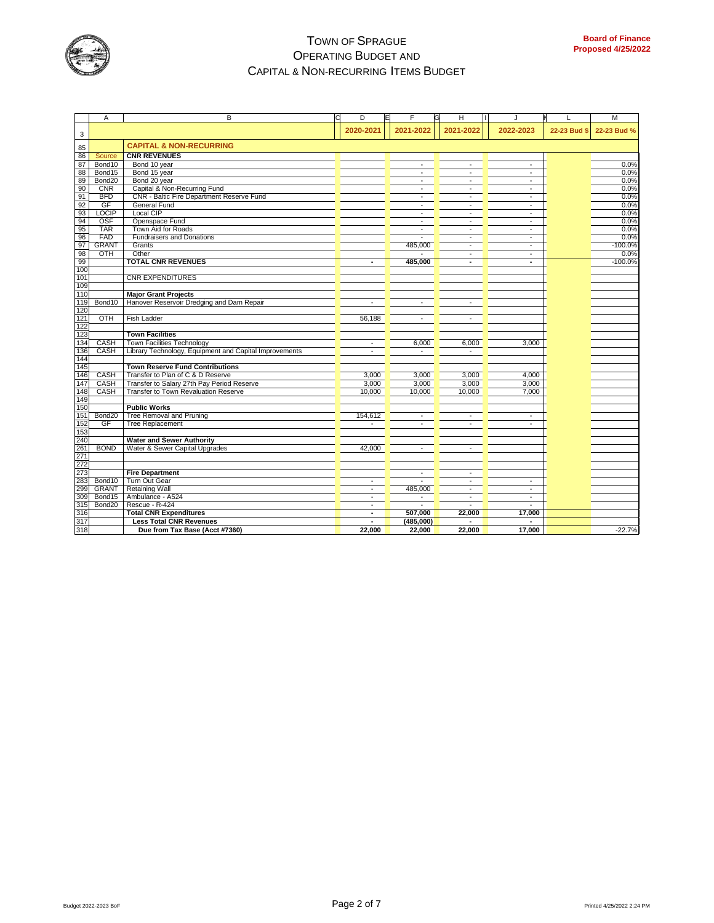

|     | Α                  | B                                                      | D                           | E | F                        | G | н                        | J                        |              | M           |
|-----|--------------------|--------------------------------------------------------|-----------------------------|---|--------------------------|---|--------------------------|--------------------------|--------------|-------------|
| 3   |                    |                                                        | 2020-2021                   |   | 2021-2022                |   | 2021-2022                | 2022-2023                | 22-23 Bud \$ | 22-23 Bud % |
| 85  |                    | <b>CAPITAL &amp; NON-RECURRING</b>                     |                             |   |                          |   |                          |                          |              |             |
| 86  | Source             | <b>CNR REVENUES</b>                                    |                             |   |                          |   |                          |                          |              |             |
| 87  | Bond10             | Bond 10 year                                           |                             |   | $\overline{a}$           |   | ä,                       | $\omega$                 |              | 0.0%        |
| 88  | Bond15             | Bond 15 year                                           |                             |   | $\overline{\phantom{a}}$ |   | $\overline{\phantom{a}}$ | $\overline{\phantom{a}}$ |              | 0.0%        |
| 89  | Bond20             | Bond 20 year                                           |                             |   | $\sim$                   |   | $\sim$                   | $\blacksquare$           |              | 0.0%        |
| 90  | <b>CNR</b>         | Capital & Non-Recurring Fund                           |                             |   | $\blacksquare$           |   | $\overline{\phantom{a}}$ | $\overline{\phantom{a}}$ |              | 0.0%        |
| 91  | <b>BFD</b>         | CNR - Baltic Fire Department Reserve Fund              |                             |   | $\blacksquare$           |   |                          |                          |              | 0.0%        |
| 92  | GF                 | General Fund                                           |                             |   | $\blacksquare$           |   | L,                       | ٠                        |              | 0.0%        |
| 93  | <b>LOCIP</b>       | Local CIP                                              |                             |   | $\sim$                   |   | $\sim$                   | $\sim$                   |              | 0.0%        |
| 94  | <b>OSF</b>         | Openspace Fund                                         |                             |   | $\omega$                 |   | ÷,                       | $\mathbf{r}$             |              | 0.0%        |
| 95  | <b>TAR</b>         | Town Aid for Roads                                     |                             |   | $\mathbf{r}$             |   | ÷.                       | $\overline{\phantom{a}}$ |              | 0.0%        |
| 96  | FAD                | <b>Fundraisers and Donations</b>                       |                             |   |                          |   | ÷.                       | $\blacksquare$           |              | 0.0%        |
| 97  | <b>GRANT</b>       | Grants                                                 |                             |   | 485,000                  |   | $\sim$                   | $\omega$                 |              | $-100.0%$   |
| 98  | OTH                | Other                                                  |                             |   |                          |   |                          | ٠                        |              | 0.0%        |
| 99  |                    | <b>TOTAL CNR REVENUES</b>                              | ٠                           |   | 485,000                  |   | ٠                        | ٠                        |              | $-100.0%$   |
| 100 |                    |                                                        |                             |   |                          |   |                          |                          |              |             |
| 101 |                    | <b>CNR EXPENDITURES</b>                                |                             |   |                          |   |                          |                          |              |             |
| 109 |                    |                                                        |                             |   |                          |   |                          |                          |              |             |
| 110 |                    | <b>Major Grant Projects</b>                            |                             |   |                          |   |                          |                          |              |             |
| 119 | Bond10             | Hanover Reservoir Dredging and Dam Repair              |                             |   | $\blacksquare$           |   | ÷                        |                          |              |             |
| 120 |                    |                                                        |                             |   |                          |   |                          |                          |              |             |
| 121 | OTH                | Fish Ladder                                            | 56,188                      |   | $\overline{\phantom{a}}$ |   | ÷,                       |                          |              |             |
| 122 |                    |                                                        |                             |   |                          |   |                          |                          |              |             |
| 123 |                    | <b>Town Facilities</b>                                 |                             |   |                          |   |                          |                          |              |             |
| 134 | CASH               | <b>Town Facilities Technology</b>                      | $\mathbf{r}$                |   | 6,000                    |   | 6,000                    | 3,000                    |              |             |
| 136 | CASH               | Library Technology, Equipment and Capital Improvements | $\sim$                      |   | $\overline{a}$           |   | $\overline{a}$           |                          |              |             |
| 144 |                    |                                                        |                             |   |                          |   |                          |                          |              |             |
| 145 |                    | <b>Town Reserve Fund Contributions</b>                 |                             |   |                          |   |                          |                          |              |             |
| 146 | CASH               | Transfer to Plan of C & D Reserve                      | 3,000                       |   | 3,000                    |   | 3,000                    | 4,000                    |              |             |
| 147 | CASH               | Transfer to Salary 27th Pay Period Reserve             | 3,000                       |   | 3,000                    |   | 3,000                    | 3,000                    |              |             |
| 148 | CASH               | Transfer to Town Revaluation Reserve                   | 10,000                      |   | 10,000                   |   | 10,000                   | 7,000                    |              |             |
| 149 |                    |                                                        |                             |   |                          |   |                          |                          |              |             |
| 150 |                    | <b>Public Works</b>                                    |                             |   |                          |   |                          |                          |              |             |
| 151 | Bond20             | Tree Removal and Pruning                               | 154,612                     |   | $\blacksquare$           |   | ÷,                       | $\overline{\phantom{a}}$ |              |             |
| 152 | GF                 | <b>Tree Replacement</b>                                |                             |   |                          |   |                          | $\ddot{\phantom{1}}$     |              |             |
| 153 |                    |                                                        |                             |   |                          |   |                          |                          |              |             |
| 240 |                    | <b>Water and Sewer Authority</b>                       |                             |   |                          |   |                          |                          |              |             |
| 261 | <b>BOND</b>        | Water & Sewer Capital Upgrades                         | 42,000                      |   |                          |   | ۷                        |                          |              |             |
| 271 |                    |                                                        |                             |   |                          |   |                          |                          |              |             |
| 272 |                    |                                                        |                             |   |                          |   |                          |                          |              |             |
| 273 |                    | <b>Fire Department</b>                                 |                             |   | $\sim$                   |   | $\overline{\phantom{a}}$ |                          |              |             |
| 283 | Bond10             | Turn Out Gear                                          |                             |   |                          |   |                          |                          |              |             |
| 299 | <b>GRANT</b>       | <b>Retaining Wall</b>                                  | $\mathcal{L}_{\mathcal{A}}$ |   | 485,000                  |   | $\sim$                   | $\sim$                   |              |             |
| 309 | Bond15             | Ambulance - A524                                       | $\overline{\phantom{a}}$    |   | $\blacksquare$           |   | $\overline{\phantom{a}}$ | $\sim$                   |              |             |
| 315 | Bond <sub>20</sub> | Rescue - R-424                                         | $\blacksquare$              |   |                          |   |                          | ÷,                       |              |             |
| 316 |                    | <b>Total CNR Expenditures</b>                          |                             |   | 507.000                  |   | 22,000                   | 17,000                   |              |             |
| 317 |                    | <b>Less Total CNR Revenues</b>                         | ٠                           |   | (485,000)                |   |                          | $\blacksquare$           |              |             |
| 318 |                    | Due from Tax Base (Acct #7360)                         | 22.000                      |   | 22,000                   |   | 22,000                   | 17,000                   |              | $-22.7%$    |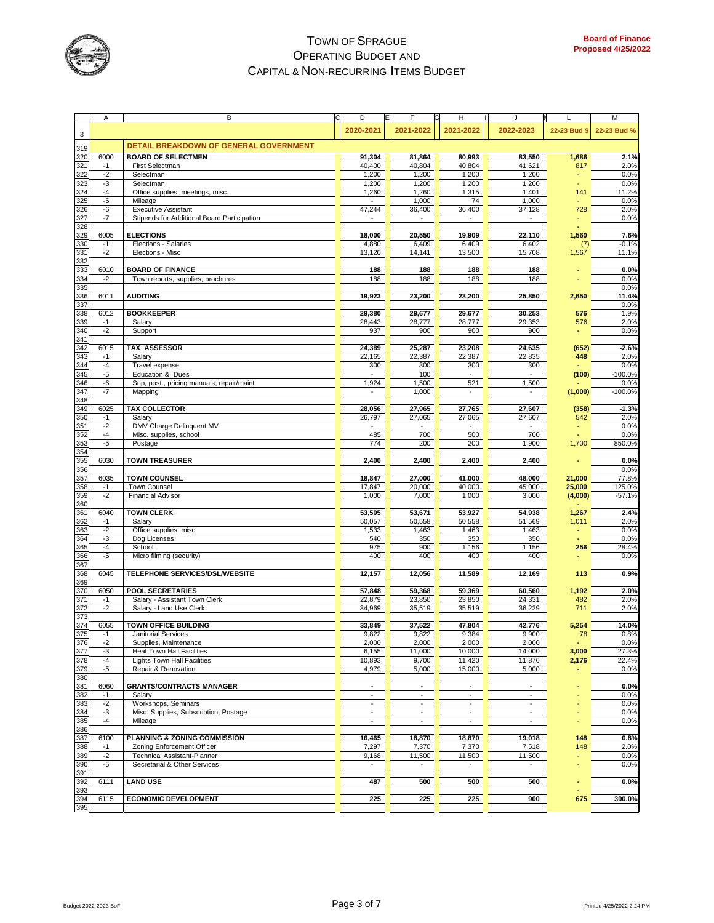

|            | Α            | В                                                        | D                                        | F                                        | н                                  | J                        | L            | М                 |
|------------|--------------|----------------------------------------------------------|------------------------------------------|------------------------------------------|------------------------------------|--------------------------|--------------|-------------------|
|            |              |                                                          | 2020-2021                                | 2021-2022                                | 2021-2022                          | 2022-2023                | 22-23 Bud \$ | 22-23 Bud %       |
| 3          |              |                                                          |                                          |                                          |                                    |                          |              |                   |
| 319        |              | DETAIL BREAKDOWN OF GENERAL GOVERNMENT                   |                                          |                                          |                                    |                          |              |                   |
| 320        | 6000         | <b>BOARD OF SELECTMEN</b>                                | 91,304                                   | 81,864                                   | 80,993                             | 83,550                   | 1,686        | 2.1%              |
| 321<br>322 | $-1$<br>$-2$ | First Selectman<br>Selectman                             | 40,400<br>1,200                          | 40,804<br>1,200                          | 40,804<br>1,200                    | 41,621<br>1,200          | 817          | 2.0%<br>0.0%      |
| 323        | $-3$         | Selectman                                                | 1,200                                    | 1,200                                    | 1,200                              | 1,200                    |              | 0.0%              |
| 324        | $-4$         | Office supplies, meetings, misc.                         | 1,260                                    | 1,260                                    | 1,315                              | 1,401                    | 141          | 11.2%             |
| 325        | -5           | Mileage                                                  | $\overline{a}$                           | 1,000                                    | 74                                 | 1,000                    |              | 0.0%              |
| 326        | -6           | <b>Executive Assistant</b>                               | 47,244                                   | 36,400                                   | 36,400                             | 37,128                   | 728          | 2.0%              |
| 327<br>328 | $-7$         | Stipends for Additional Board Participation              |                                          | $\mathbf{r}$                             |                                    |                          |              | 0.0%              |
| 329        | 6005         | <b>ELECTIONS</b>                                         | 18.000                                   | 20,550                                   | 19,909                             | 22,110                   | 1,560        | 7.6%              |
| 330        | $-1$         | Elections - Salaries                                     | 4,880                                    | 6,409                                    | 6,409                              | 6,402                    | (7)          | $-0.1%$           |
| 331        | $-2$         | Elections - Misc                                         | 13,120                                   | 14,141                                   | 13,500                             | 15,708                   | 1,567        | 11.1%             |
| 332        |              |                                                          |                                          |                                          |                                    |                          |              |                   |
| 333<br>334 | 6010<br>$-2$ | <b>BOARD OF FINANCE</b>                                  | 188<br>188                               | 188<br>188                               | 188<br>188                         | 188<br>188               |              | 0.0%<br>0.0%      |
| 335        |              | Town reports, supplies, brochures                        |                                          |                                          |                                    |                          |              | 0.0%              |
| 336        | 6011         | <b>AUDITING</b>                                          | 19,923                                   | 23,200                                   | 23,200                             | 25,850                   | 2,650        | 11.4%             |
| 337        |              |                                                          |                                          |                                          |                                    |                          |              | 0.0%              |
| 338        | 6012         | <b>BOOKKEEPER</b>                                        | 29,380                                   | 29,677                                   | 29,677                             | 30,253                   | 576          | 1.9%              |
| 339        | $-1$<br>$-2$ | Salary                                                   | 28,443                                   | 28,777                                   | 28,777                             | 29,353                   | 576          | 2.0%<br>0.0%      |
| 340<br>341 |              | Support                                                  | 937                                      | 900                                      | 900                                | 900                      |              |                   |
| 342        | 6015         | TAX ASSESSOR                                             | 24,389                                   | 25,287                                   | 23,208                             | 24,635                   | (652)        | $-2.6%$           |
| 343        | $-1$         | Salary                                                   | 22,165                                   | 22,387                                   | 22,387                             | 22,835                   | 448          | 2.0%              |
| 344        | $-4$         | Travel expense                                           | 300                                      | 300                                      | 300                                | 300                      |              | 0.0%              |
| 345        | $-5$         | Education & Dues                                         |                                          | 100                                      |                                    |                          | (100)        | $-100.0%$         |
| 346<br>347 | -6<br>$-7$   | Sup, post., pricing manuals, repair/maint<br>Mapping     | 1,924                                    | 1,500<br>1,000                           | 521<br>$\sim$                      | 1,500                    | (1,000)      | 0.0%<br>$-100.0%$ |
| 348        |              |                                                          |                                          |                                          |                                    |                          |              |                   |
| 349        | 6025         | <b>TAX COLLECTOR</b>                                     | 28,056                                   | 27,965                                   | 27,765                             | 27,607                   | (358)        | $-1.3%$           |
| 350        | $-1$         | Salary                                                   | 26,797                                   | 27,065                                   | 27,065                             | 27,607                   | 542          | 2.0%              |
| 351        | $-2$         | DMV Charge Delinquent MV                                 |                                          |                                          |                                    |                          |              | 0.0%              |
| 352        | $-4$<br>$-5$ | Misc. supplies, school                                   | 485                                      | 700<br>200                               | 500                                | 700                      |              | 0.0%              |
| 353<br>354 |              | Postage                                                  | 774                                      |                                          | 200                                | 1,900                    | 1,700        | 850.0%            |
| 355        | 6030         | <b>TOWN TREASURER</b>                                    | 2,400                                    | 2,400                                    | 2,400                              | 2,400                    |              | 0.0%              |
| 356        |              |                                                          |                                          |                                          |                                    |                          |              | 0.0%              |
| 357        | 6035         | <b>TOWN COUNSEL</b>                                      | 18,847                                   | 27,000                                   | 41,000                             | 48,000                   | 21,000       | 77.8%             |
| 358        | $-1$         | <b>Town Counsel</b>                                      | 17,847                                   | 20,000                                   | 40,000                             | 45,000                   | 25,000       | 125.0%            |
| 359<br>360 | $-2$         | <b>Financial Advisor</b>                                 | 1,000                                    | 7,000                                    | 1,000                              | 3,000                    | (4,000)      | $-57.1%$          |
| 361        | 6040         | <b>TOWN CLERK</b>                                        | 53,505                                   | 53,671                                   | 53,927                             | 54,938                   | 1,267        | 2.4%              |
| 362        | $-1$         | Salary                                                   | 50,057                                   | 50,558                                   | 50,558                             | 51,569                   | 1,011        | 2.0%              |
| 363        | $-2$         | Office supplies, misc.                                   | 1,533                                    | 1,463                                    | 1,463                              | 1,463                    |              | 0.0%              |
| 364        | $-3$         | Dog Licenses                                             | 540                                      | 350                                      | 350                                | 350                      |              | 0.0%              |
| 365<br>366 | $-4$<br>-5   | School<br>Micro filming (security)                       | 975<br>400                               | 900<br>400                               | 1,156<br>400                       | 1,156<br>400             | 256          | 28.4%<br>0.0%     |
| 367        |              |                                                          |                                          |                                          |                                    |                          |              |                   |
| 368        | 6045         | TELEPHONE SERVICES/DSL/WEBSITE                           | 12,157                                   | 12,056                                   | 11,589                             | 12,169                   | 113          | 0.9%              |
| 369        |              |                                                          |                                          |                                          |                                    |                          |              |                   |
| 370        | 6050         | <b>POOL SECRETARIES</b>                                  | 57,848                                   | 59,368                                   | 59,369                             | 60,560                   | 1,192        | 2.0%              |
| 371<br>372 | $-1$<br>$-2$ | Salary - Assistant Town Clerk<br>Salary - Land Use Clerk | 22,879<br>34,969                         | 23,850<br>35,519                         | 23,850<br>35,519                   | 24,331<br>36,229         | 482<br>711   | 2.0%<br>2.0%      |
| 373        |              |                                                          |                                          |                                          |                                    |                          |              |                   |
| 374        | 6055         | TOWN OFFICE BUILDING                                     | 33,849                                   | 37,522                                   | 47,804                             | 42,776                   | 5,254        | 14.0%             |
| 375        | $-1$         | Janitorial Services                                      | 9,822                                    | 9,822                                    | 9,384                              | 9,900                    | 78           | 0.8%              |
| 376<br>377 | $-2$         | Supplies, Maintenance                                    | 2,000                                    | 2,000                                    | 2,000                              | 2,000                    |              | 0.0%              |
|            | -3           | Heat Town Hall Facilities                                | 6,155                                    | 11,000                                   | 10,000                             | 14,000                   | 3,000        | 27.3%             |
| 378<br>379 | $-4$<br>$-5$ | Lights Town Hall Facilities<br>Repair & Renovation       | 10,893<br>4,979                          | 9,700<br>5,000                           | 11,420<br>15,000                   | 11,876<br>5,000          | 2,176        | 22.4%<br>0.0%     |
| 380        |              |                                                          |                                          |                                          |                                    |                          |              |                   |
| 381        | 6060         | <b>GRANTS/CONTRACTS MANAGER</b>                          | $\overline{\phantom{a}}$                 | $\overline{\phantom{a}}$                 | $\overline{\phantom{a}}$           | $\overline{\phantom{a}}$ |              | 0.0%              |
| 382        | $-1$         | Salary                                                   | ä,                                       | $\mathbf{r}$                             | $\sim$                             | $\blacksquare$           |              | 0.0%              |
| 383        | $-2$         | Workshops, Seminars                                      | $\blacksquare$                           | $\blacksquare$                           | $\overline{\phantom{a}}$           | $\overline{\phantom{a}}$ |              | 0.0%              |
| 384<br>385 | -3<br>$-4$   | Misc. Supplies, Subscription, Postage<br>Mileage         | $\mathbf{r}$<br>$\overline{\phantom{a}}$ | $\mathbf{r}$<br>$\overline{\phantom{a}}$ | $\sim$<br>$\overline{\phantom{a}}$ | $\blacksquare$<br>÷,     |              | 0.0%<br>0.0%      |
| 386        |              |                                                          |                                          |                                          |                                    |                          |              |                   |
| 387        | 6100         | PLANNING & ZONING COMMISSION                             | 16,465                                   | 18,870                                   | 18,870                             | 19,018                   | 148          | 0.8%              |
| 388        | $-1$         | Zoning Enforcement Officer                               | 7,297                                    | 7,370                                    | 7,370                              | 7,518                    | 148          | 2.0%              |
| 389        | $-2$         | <b>Technical Assistant-Planner</b>                       | 9,168                                    | 11,500                                   | 11,500                             | 11,500                   |              | 0.0%              |
| 390<br>391 | $-5$         | Secretarial & Other Services                             | $\blacksquare$                           | $\blacksquare$                           | $\overline{\phantom{a}}$           | $\overline{\phantom{a}}$ |              | 0.0%              |
| 392        | 6111         | <b>LAND USE</b>                                          | 487                                      | 500                                      | 500                                | 500                      |              | 0.0%              |
| 393        |              |                                                          |                                          |                                          |                                    |                          |              |                   |
| 394        | 6115         | <b>ECONOMIC DEVELOPMENT</b>                              | 225                                      | 225                                      | 225                                | 900                      | 675          | 300.0%            |
| 395        |              |                                                          |                                          |                                          |                                    |                          |              |                   |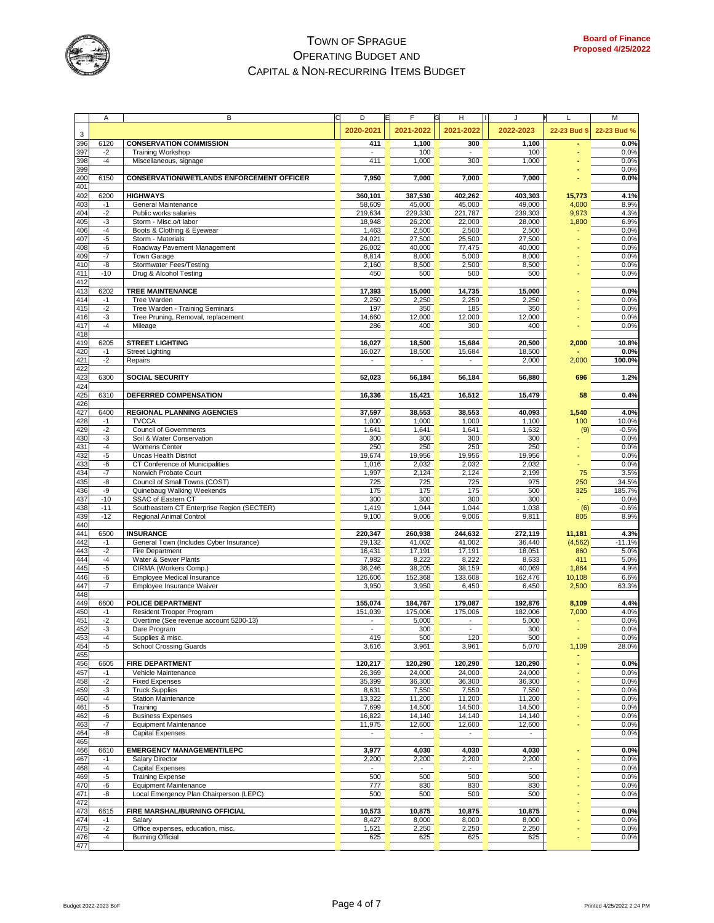

|            | Α            | B                                                               | D<br>ΙE                            | F                        | н                        | J                |                 | M              |
|------------|--------------|-----------------------------------------------------------------|------------------------------------|--------------------------|--------------------------|------------------|-----------------|----------------|
|            |              |                                                                 | 2020-2021                          | 2021-2022                | 2021-2022                | 2022-2023        | 22-23 Bud \$    | 22-23 Bud %    |
| 3<br>396   | 6120         | <b>CONSERVATION COMMISSION</b>                                  | 411                                | 1,100                    | 300                      | 1,100            |                 | 0.0%           |
| 397        | $-2$         | <b>Training Workshop</b>                                        |                                    | 100                      |                          | 100              |                 | 0.0%           |
| 398        | $-4$         | Miscellaneous, signage                                          | 411                                | 1,000                    | 300                      | 1,000            |                 | 0.0%           |
| 399        |              |                                                                 |                                    |                          |                          |                  |                 | 0.0%           |
| 400<br>401 | 6150         | <b>CONSERVATION/WETLANDS ENFORCEMENT OFFICER</b>                | 7,950                              | 7,000                    | 7,000                    | 7,000            |                 | 0.0%           |
| 402        | 6200         | <b>HIGHWAYS</b>                                                 | 360,101                            | 387,530                  | 402,262                  | 403,303          | 15,773          | 4.1%           |
| 403        | $-1$         | General Maintenance                                             | 58,609                             | 45,000                   | 45,000                   | 49,000           | 4,000           | 8.9%           |
| 404        | $-2$         | Public works salaries                                           | 219,634                            | 229,330                  | 221,787                  | 239,303          | 9,973           | 4.3%           |
| 405        | $-3$         | Storm - Misc.o/t labor                                          | 18,948                             | 26,200                   | 22,000                   | 28,000           | 1,800           | 6.9%           |
| 406<br>407 | $-4$<br>$-5$ | Boots & Clothing & Eyewear<br>Storm - Materials                 | 1,463<br>24,021                    | 2,500<br>27,500          | 2,500<br>25,500          | 2,500<br>27,500  |                 | 0.0%<br>0.0%   |
| 408        | -6           | Roadway Pavement Management                                     | 26,002                             | 40,000                   | 77,475                   | 40,000           |                 | 0.0%           |
| 409        | $-7$         | Town Garage                                                     | 8,814                              | 8,000                    | 5,000                    | 8,000            |                 | 0.0%           |
| 410        | -8           | Stormwater Fees/Testing                                         | 2,160                              | 8,500                    | 2,500                    | 8,500            |                 | 0.0%           |
| 411        | $-10$        | Drug & Alcohol Testing                                          | 450                                | 500                      | 500                      | 500              |                 | 0.0%           |
| 412        | 6202         | <b>TREE MAINTENANCE</b>                                         |                                    |                          |                          |                  |                 | 0.0%           |
| 413<br>414 | $-1$         | Tree Warden                                                     | 17,393<br>2,250                    | 15,000<br>2,250          | 14,735<br>2,250          | 15,000<br>2,250  |                 | 0.0%           |
| 415        | $-2$         | Tree Warden - Training Seminars                                 | 197                                | 350                      | 185                      | 350              |                 | 0.0%           |
| 416        | -3           | Tree Pruning, Removal, replacement                              | 14,660                             | 12,000                   | 12,000                   | 12,000           |                 | 0.0%           |
| 417        | $-4$         | Mileage                                                         | 286                                | 400                      | 300                      | 400              |                 | 0.0%           |
| 418        |              |                                                                 |                                    |                          |                          |                  |                 |                |
| 419        | 6205         | <b>STREET LIGHTING</b>                                          | 16,027                             | 18,500                   | 15,684                   | 20,500           | 2,000           | 10.8%          |
| 420<br>421 | $-1$<br>$-2$ | <b>Street Lighting</b><br>Repairs                               | 16,027<br>$\overline{\phantom{a}}$ | 18,500<br>$\blacksquare$ | 15,684<br>$\blacksquare$ | 18,500<br>2,000  | 2,000           | 0.0%<br>100.0% |
| 422        |              |                                                                 |                                    |                          |                          |                  |                 |                |
| 423        | 6300         | <b>SOCIAL SECURITY</b>                                          | 52,023                             | 56,184                   | 56,184                   | 56,880           | 696             | 1.2%           |
| 424        |              |                                                                 |                                    |                          |                          |                  |                 |                |
| 425<br>426 | 6310         | DEFERRED COMPENSATION                                           | 16,336                             | 15,421                   | 16,512                   | 15,479           | 58              | 0.4%           |
| 427        | 6400         | <b>REGIONAL PLANNING AGENCIES</b>                               | 37,597                             | 38,553                   | 38,553                   | 40,093           | 1,540           | 4.0%           |
| 428        | $-1$         | <b>TVCCA</b>                                                    | 1,000                              | 1,000                    | 1,000                    | 1,100            | 100             | 10.0%          |
| 429        | $-2$         | <b>Council of Governments</b>                                   | 1,641                              | 1,641                    | 1,641                    | 1,632            | (9)             | $-0.5%$        |
| 430        | $-3$         | Soil & Water Conservation                                       | 300                                | 300                      | 300                      | 300              |                 | 0.0%           |
| 431        | $-4$         | Womens Center                                                   | 250                                | 250                      | 250                      | 250              |                 | 0.0%           |
| 432<br>433 | $-5$<br>-6   | <b>Uncas Health District</b><br>CT Conference of Municipalities | 19,674<br>1,016                    | 19,956<br>2,032          | 19,956<br>2,032          | 19,956<br>2,032  |                 | 0.0%<br>0.0%   |
| 434        | $-7$         | Norwich Probate Court                                           | 1,997                              | 2,124                    | 2,124                    | 2,199            | 75              | 3.5%           |
| 435        | -8           | Council of Small Towns (COST)                                   | 725                                | 725                      | 725                      | 975              | 250             | 34.5%          |
| 436        | -9           | Quinebaug Walking Weekends                                      | 175                                | 175                      | 175                      | 500              | 325             | 185.7%         |
| 437        | $-10$        | SSAC of Eastern CT                                              | 300                                | 300                      | 300                      | 300              |                 | 0.0%           |
| 438        | $-11$        | Southeastern CT Enterprise Region (SECTER)                      | 1,419                              | 1,044                    | 1,044                    | 1,038            | (6)             | $-0.6%$        |
| 439        | $-12$        | Regional Animal Control                                         | 9,100                              | 9,006                    | 9,006                    | 9,811            | 805             | 8.9%           |
| 440<br>441 | 6500         | <b>INSURANCE</b>                                                | 220,347                            | 260,938                  | 244,632                  | 272,119          | 11,181          | 4.3%           |
| 442        | $-1$         | General Town (Includes Cyber Insurance)                         | 29,132                             | 41,002                   | 41,002                   | 36,440           | (4, 562)        | $-11.1%$       |
| 443        | $-2$         | Fire Department                                                 | 16,431                             | 17,191                   | 17,191                   | 18,051           | 860             | 5.0%           |
| 444        | $-4$         | Water & Sewer Plants                                            | 7,982                              | 8,222                    | 8,222                    | 8,633            | 411             | 5.0%           |
| 445        | -5           | CIRMA (Workers Comp.)                                           | 36,246                             | 38,205                   | 38,159                   | 40,069           | 1,864           | 4.9%           |
| 446<br>447 | -6<br>$-7$   | Employee Medical Insurance<br>Employee Insurance Waiver         | 126,606<br>3,950                   | 152,368<br>3,950         | 133,608<br>6,450         | 162,476<br>6,450 | 10,108<br>2,500 | 6.6%<br>63.3%  |
| 448        |              |                                                                 |                                    |                          |                          |                  |                 |                |
| 449        | 6600         | <b>POLICE DEPARTMENT</b>                                        | 155,074                            | 184,767                  | 179,087                  | 192,876          | 8,109           | 4.4%           |
| 450        | $-1$         | Resident Trooper Program                                        | 151,039                            | 175,006                  | 175,006                  | 182,006          | 7,000           | 4.0%           |
| 451        | $-2$         | Overtime (See revenue account 5200-13)                          |                                    | 5,000                    |                          | 5,000            |                 | 0.0%           |
| 452        | $-3$         | Dare Program                                                    |                                    | 300                      |                          | 300              |                 | 0.0%           |
| 453<br>454 | -4<br>$-5$   | Supplies & misc.<br><b>School Crossing Guards</b>               | 419<br>3,616                       | 500<br>3,961             | 120                      | 500<br>5,070     | 1,109           | 0.0%<br>28.0%  |
| 455        |              |                                                                 |                                    |                          | 3,961                    |                  |                 |                |
| 456        | 6605         | <b>FIRE DEPARTMENT</b>                                          | 120,217                            | 120,290                  | 120,290                  | 120,290          |                 | 0.0%           |
| 457        | $-1$         | Vehicle Maintenance                                             | 26,369                             | 24,000                   | 24,000                   | 24,000           |                 | 0.0%           |
| 458        | $-2$         | <b>Fixed Expenses</b>                                           | 35,399                             | 36,300                   | 36,300                   | 36,300           |                 | 0.0%           |
| 459        | $-3$         | <b>Truck Supplies</b>                                           | 8,631                              | 7,550                    | 7,550                    | 7,550            |                 | 0.0%           |
| 460<br>461 | $-4$<br>$-5$ | <b>Station Maintenance</b><br>Training                          | 13,322<br>7,699                    | 11,200<br>14,500         | 11,200<br>14,500         | 11,200<br>14,500 |                 | 0.0%<br>0.0%   |
| 462        | -6           | <b>Business Expenses</b>                                        | 16,822                             | 14,140                   | 14,140                   | 14,140           |                 | 0.0%           |
| 463        | $-7$         | <b>Equipment Maintenance</b>                                    | 11,975                             | 12,600                   | 12,600                   | 12,600           |                 | 0.0%           |
| 464        | -8           | <b>Capital Expenses</b>                                         | $\blacksquare$                     | $\blacksquare$           | $\overline{\phantom{a}}$ |                  |                 | 0.0%           |
| 465        |              |                                                                 |                                    |                          |                          |                  |                 |                |
| 466        | 6610         | <b>EMERGENCY MANAGEMENT/LEPC</b>                                | 3,977                              | 4,030                    | 4,030                    | 4,030            |                 | 0.0%           |
| 467<br>468 | $-1$<br>$-4$ | <b>Salary Director</b><br><b>Capital Expenses</b>               | 2,200                              | 2,200                    | 2,200                    | 2,200            |                 | 0.0%<br>0.0%   |
| 469        | $-5$         | <b>Training Expense</b>                                         | 500                                | 500                      | 500                      | 500              |                 | 0.0%           |
| 470        | -6           | <b>Equipment Maintenance</b>                                    | 777                                | 830                      | 830                      | 830              |                 | 0.0%           |
| 471        | -8           | Local Emergency Plan Chairperson (LEPC)                         | 500                                | 500                      | 500                      | 500              |                 | 0.0%           |
| 472        |              |                                                                 |                                    |                          |                          |                  |                 |                |
| 473<br>474 | 6615<br>$-1$ | FIRE MARSHAL/BURNING OFFICIAL<br>Salary                         | 10,573<br>8,427                    | 10,875<br>8,000          | 10,875<br>8,000          | 10,875<br>8,000  |                 | 0.0%<br>0.0%   |
| 475        | $-2$         | Office expenses, education, misc.                               | 1,521                              | 2,250                    | 2,250                    | 2,250            |                 | 0.0%           |
| 476        | $-4$         | <b>Burning Official</b>                                         | 625                                | 625                      | 625                      | 625              |                 | 0.0%           |
| 477        |              |                                                                 |                                    |                          |                          |                  |                 |                |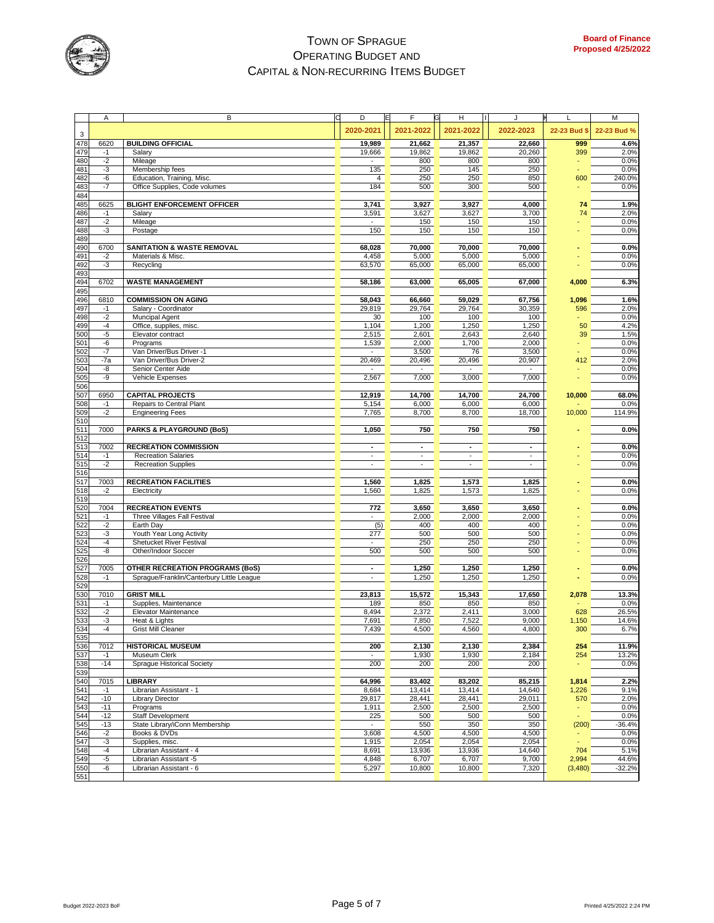

|            | Α            | В                                                  | D<br>E           | F                | н                | J                        | L            | M             |
|------------|--------------|----------------------------------------------------|------------------|------------------|------------------|--------------------------|--------------|---------------|
| 3          |              |                                                    | 2020-2021        | 2021-2022        | 2021-2022        | 2022-2023                | 22-23 Bud \$ | 22-23 Bud %   |
| 478        | 6620         | <b>BUILDING OFFICIAL</b>                           | 19,989           | 21,662           | 21,357           | 22,660                   | 999          | 4.6%          |
| 479        | $-1$         | Salary                                             | 19,666           | 19,862           | 19,862           | 20,260                   | 399          | 2.0%          |
| 480        | $-2$         | Mileage                                            |                  | 800              | 800              | 800                      |              | 0.0%          |
| 481        | $-3$         | Membership fees                                    | 135              | 250              | 145              | 250                      |              | 0.0%          |
| 482        | -6           | Education, Training, Misc.                         | 4                | 250              | 250              | 850                      | 600          | 240.0%        |
| 483<br>484 | $-7$         | Office Supplies, Code volumes                      | 184              | 500              | 300              | 500                      |              | 0.0%          |
| 485        | 6625         | <b>BLIGHT ENFORCEMENT OFFICER</b>                  | 3,741            | 3,927            | 3,927            | 4,000                    | 74           | 1.9%          |
| 486        | $-1$         | Salary                                             | 3,591            | 3,627            | 3,627            | 3,700                    | 74           | 2.0%          |
| 487        | $-2$         | Mileage                                            | $\blacksquare$   | 150              | 150              | 150                      |              | 0.0%          |
| 488        | $-3$         | Postage                                            | 150              | 150              | 150              | 150                      |              | 0.0%          |
| 489        |              | <b>SANITATION &amp; WASTE REMOVAL</b>              |                  |                  |                  |                          |              |               |
| 490<br>491 | 6700<br>$-2$ | Materials & Misc.                                  | 68,028<br>4,458  | 70,000<br>5,000  | 70,000<br>5,000  | 70,000<br>5,000          |              | 0.0%<br>0.0%  |
| 492        | $-3$         | Recycling                                          | 63,570           | 65,000           | 65,000           | 65,000                   |              | 0.0%          |
| 493        |              |                                                    |                  |                  |                  |                          |              |               |
| 494        | 6702         | <b>WASTE MANAGEMENT</b>                            | 58,186           | 63,000           | 65,005           | 67,000                   | 4,000        | 6.3%          |
| 495        |              |                                                    |                  |                  |                  |                          |              |               |
| 496<br>497 | 6810<br>$-1$ | <b>COMMISSION ON AGING</b><br>Salary - Coordinator | 58,043<br>29,819 | 66,660<br>29,764 | 59,029<br>29,764 | 67,756<br>30,359         | 1,096<br>596 | 1.6%<br>2.0%  |
| 498        | $-2$         | Muncipal Agent                                     | 30               | 100              | 100              | 100                      |              | 0.0%          |
| 499        | $-4$         | Office, supplies, misc.                            | 1,104            | 1,200            | 1,250            | 1,250                    | 50           | 4.2%          |
| 500        | $-5$         | Elevator contract                                  | 2,515            | 2,601            | 2,643            | 2,640                    | 39           | 1.5%          |
| 501        | -6           | Programs                                           | 1,539            | 2,000            | 1,700            | 2,000                    |              | 0.0%          |
| 502        | $-7$         | Van Driver/Bus Driver -1                           | ä,               | 3,500            | 76               | 3,500                    |              | 0.0%          |
| 503        | $-7a$        | Van Driver/Bus Driver-2                            | 20,469           | 20,496           | 20,496           | 20,907                   | 412          | 2.0%          |
| 504        | -8           | Senior Center Aide                                 |                  |                  |                  |                          |              | 0.0%          |
| 505<br>506 | -9           | Vehicle Expenses                                   | 2,567            | 7,000            | 3,000            | 7,000                    |              | 0.0%          |
| 507        | 6950         | <b>CAPITAL PROJECTS</b>                            | 12,919           | 14,700           | 14,700           | 24,700                   | 10,000       | 68.0%         |
| 508        | $-1$         | Repairs to Central Plant                           | 5,154            | 6,000            | 6,000            | 6,000                    |              | 0.0%          |
| 509        | $-2$         | <b>Engineering Fees</b>                            | 7,765            | 8,700            | 8,700            | 18,700                   | 10,000       | 114.9%        |
| 510        |              |                                                    |                  |                  |                  |                          |              |               |
| 511        | 7000         | <b>PARKS &amp; PLAYGROUND (BoS)</b>                | 1,050            | 750              | 750              | 750                      |              | 0.0%          |
| 512<br>513 | 7002         | <b>RECREATION COMMISSION</b>                       | $\blacksquare$   | $\blacksquare$   | $\overline{a}$   | $\blacksquare$           |              | 0.0%          |
| 514        | $-1$         | <b>Recreation Salaries</b>                         |                  | $\blacksquare$   |                  | $\blacksquare$           |              | 0.0%          |
| 515        | $-2$         | <b>Recreation Supplies</b>                         | ä,               | $\sim$           | $\sim$           | $\overline{\phantom{a}}$ |              | 0.0%          |
| 516        |              |                                                    |                  |                  |                  |                          |              |               |
| 517        | 7003         | <b>RECREATION FACILITIES</b>                       | 1,560            | 1,825            | 1,573            | 1,825                    |              | 0.0%          |
| 518        | $-2$         | Electricity                                        | 1,560            | 1,825            | 1,573            | 1,825                    |              | 0.0%          |
| 519<br>520 | 7004         | <b>RECREATION EVENTS</b>                           | 772              | 3,650            | 3,650            | 3,650                    |              | 0.0%          |
| 521        | $-1$         | Three Villages Fall Festival                       | ä,               | 2,000            | 2,000            | 2,000                    |              | 0.0%          |
| 522        | $-2$         | Earth Day                                          | (5)              | 400              | 400              | 400                      |              | 0.0%          |
| 523        | $-3$         | Youth Year Long Activity                           | 277              | 500              | 500              | 500                      |              | 0.0%          |
| 524        | $-4$         | <b>Shetucket River Festival</b>                    | ä,               | 250              | 250              | 250                      |              | 0.0%          |
| 525        | -8           | Other/Indoor Soccer                                | 500              | 500              | 500              | 500                      |              | 0.0%          |
| 526<br>527 | 7005         | <b>OTHER RECREATION PROGRAMS (BoS)</b>             | ٠                | 1,250            | 1,250            | 1,250                    |              | 0.0%          |
| 528        | $-1$         | Sprague/Franklin/Canterbury Little League          | ÷.               | 1,250            | 1,250            | 1,250                    |              | 0.0%          |
| 529        |              |                                                    |                  |                  |                  |                          |              |               |
| 530        | 7010         | <b>GRIST MILL</b>                                  | 23,813           | 15,572           | 15,343           | 17,650                   | 2,078        | 13.3%         |
| 531        | $-1$         | Supplies, Maintenance                              | 189              | 850              | 850              | 850                      |              | 0.0%          |
| 532        | $-2$         | Elevator Maintenance                               | 8,494            | 2,372            | 2,411            | 3,000                    | 628          | 26.5%         |
| 533<br>534 | $-3$<br>-4   | Heat & Lights<br><b>Grist Mill Cleaner</b>         | 7,691<br>7,439   | 7,850<br>4,500   | 7,522            | 9,000<br>4,800           | 1,150        | 14.6%<br>6.7% |
|            |              |                                                    |                  |                  | 4,560            |                          | 300          |               |
| 535<br>536 | 7012         | <b>HISTORICAL MUSEUM</b>                           | 200              | 2,130            | 2,130            | 2,384                    | 254          | 11.9%         |
| 537        | $-1$         | Museum Clerk                                       | $\blacksquare$   | 1,930            | 1,930            | 2,184                    | 254          | 13.2%         |
| 538        | $-14$        | <b>Sprague Historical Society</b>                  | 200              | 200              | 200              | 200                      |              | 0.0%          |
| 539        |              |                                                    |                  |                  |                  |                          |              |               |
| 540<br>541 | 7015<br>$-1$ | <b>LIBRARY</b><br>Librarian Assistant - 1          | 64,996<br>8,684  | 83,402<br>13,414 | 83,202<br>13,414 | 85,215<br>14,640         | 1,814        | 2.2%<br>9.1%  |
| 542        | $-10$        | <b>Library Director</b>                            | 29,817           | 28,441           | 28,441           | 29,011                   | 1,226<br>570 | 2.0%          |
| 543        | $-11$        | Programs                                           | 1,911            | 2,500            | 2,500            | 2,500                    |              | 0.0%          |
| 544        | $-12$        | Staff Development                                  | 225              | 500              | 500              | 500                      |              | 0.0%          |
| 545        | $-13$        | State Library/iConn Membership                     | $\blacksquare$   | 550              | 350              | 350                      | (200)        | $-36.4%$      |
| 546        | $-2$         | Books & DVDs                                       | 3,608            | 4,500            | 4,500            | 4,500                    |              | 0.0%          |
| 547        | $-3$         | Supplies, misc.                                    | 1,915            | 2,054            | 2,054            | 2,054                    |              | 0.0%          |
| 548        | $-4$         | Librarian Assistant - 4                            | 8,691            | 13,936           | 13,936           | 14,640                   | 704          | 5.1%          |
| 549        | $-5$         | Librarian Assistant -5                             | 4,848            | 6,707            | 6,707            | 9,700                    | 2,994        | 44.6%         |
| 550<br>551 | -6           | Librarian Assistant - 6                            | 5,297            | 10,800           | 10,800           | 7,320                    | (3,480)      | $-32.2%$      |
|            |              |                                                    |                  |                  |                  |                          |              |               |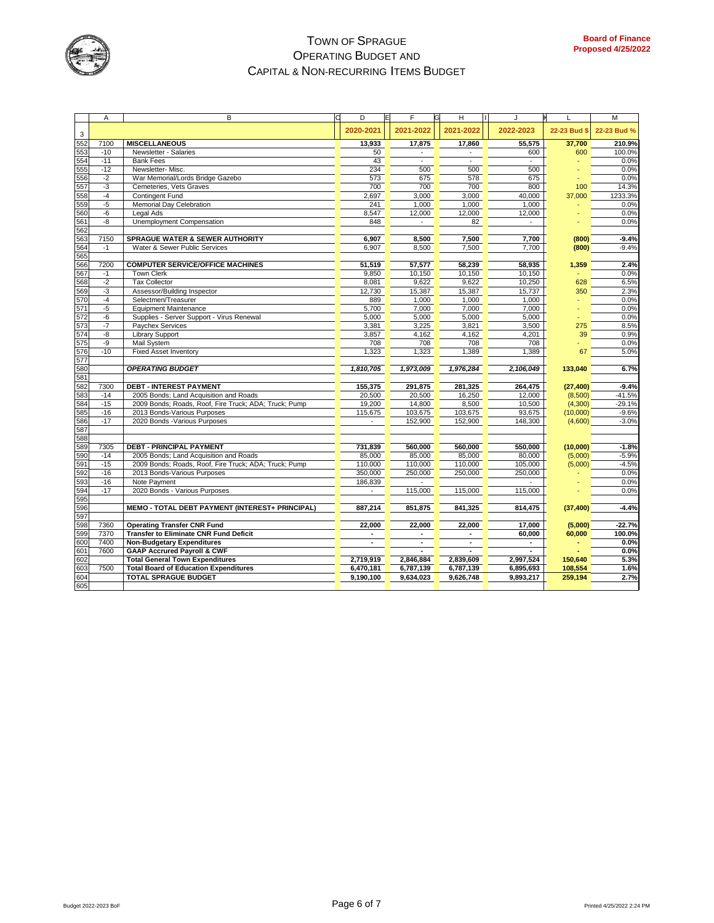

|                                        | Α     | B                                                                                      | D<br>E         | F         | G<br>H    | J              | L            | M           |
|----------------------------------------|-------|----------------------------------------------------------------------------------------|----------------|-----------|-----------|----------------|--------------|-------------|
| 3                                      |       |                                                                                        | 2020-2021      | 2021-2022 | 2021-2022 | 2022-2023      | 22-23 Bud \$ | 22-23 Bud % |
| 552                                    | 7100  | <b>MISCELLANEOUS</b>                                                                   | 13,933         | 17,875    | 17,860    | 55,575         | 37,700       | 210.9%      |
| 553<br>554                             | $-10$ | Newsletter - Salaries                                                                  | 50             |           |           | 600            | 600          | 100.0%      |
|                                        | $-11$ | <b>Bank Fees</b>                                                                       | 43             |           |           | $\blacksquare$ |              | 0.0%        |
| 555                                    | $-12$ | Newsletter-Misc.                                                                       | 234            | 500       | 500       | 500            |              | 0.0%        |
| 556                                    | $-2$  | War Memorial/Lords Bridge Gazebo                                                       | 573            | 675       | 578       | 675            |              | 0.0%        |
| 557                                    | $-3$  | Cemeteries, Vets Graves                                                                | 700            | 700       | 700       | 800            | 100          | 14.3%       |
| 558                                    | $-4$  | Contingent Fund                                                                        | 2,697          | 3,000     | 3,000     | 40,000         | 37,000       | 1233.3%     |
| 559                                    | $-5$  | Memorial Day Celebration                                                               | 241            | 1,000     | 1,000     | 1,000          |              | 0.0%        |
| 560                                    | -6    | Legal Ads                                                                              | 8,547          | 12,000    | 12,000    | 12,000         |              | 0.0%        |
| 561                                    | -8    | Unemployment Compensation                                                              | 848            |           | 82        |                |              | 0.0%        |
|                                        |       |                                                                                        |                |           |           |                |              |             |
| 562<br>563                             | 7150  | <b>SPRAGUE WATER &amp; SEWER AUTHORITY</b>                                             | 6,907          | 8,500     | 7.500     | 7.700          | (800)        | $-9.4%$     |
| 564                                    | $-1$  | Water & Sewer Public Services                                                          | 6,907          | 8,500     | 7,500     | 7,700          | (800)        | $-9.4%$     |
| 565                                    |       |                                                                                        |                |           |           |                |              |             |
| 566                                    | 7200  | <b>COMPUTER SERVICE/OFFICE MACHINES</b>                                                | 51,519         | 57,577    | 58,239    | 58,935         | 1,359        | 2.4%        |
| 567                                    | $-1$  | <b>Town Clerk</b>                                                                      | 9,850          | 10,150    | 10,150    | 10,150         |              | 0.0%        |
|                                        | $-2$  | <b>Tax Collector</b>                                                                   | 8,081          | 9,622     | 9,622     | 10,250         | 628          | 6.5%        |
| 568<br>569<br>570<br>571               | $-3$  | Assessor/Building Inspector                                                            | 12,730         | 15,387    | 15,387    | 15,737         | 350          | 2.3%        |
|                                        | $-4$  | Selectmen/Treasurer                                                                    | 889            | 1,000     | 1,000     | 1,000          |              | 0.0%        |
|                                        | $-5$  | <b>Equipment Maintenance</b>                                                           | 5,700          | 7,000     | 7,000     | 7,000          |              | 0.0%        |
|                                        | -6    | Supplies - Server Support - Virus Renewal                                              | 5,000          | 5,000     | 5,000     | 5,000          |              | 0.0%        |
| $\frac{572}{573}$<br>$\frac{573}{575}$ | $-7$  | Paychex Services                                                                       | 3,381          | 3,225     | 3,821     | 3,500          | 275          | 8.5%        |
|                                        | -8    | <b>Library Support</b>                                                                 | 3,857          | 4,162     | 4,162     | 4,201          | 39           | 0.9%        |
|                                        | -9    |                                                                                        | 708            | 708       | 708       | 708            |              | 0.0%        |
| 576                                    | $-10$ | Mail System                                                                            |                | 1,323     |           |                | 67           |             |
| 577                                    |       | <b>Fixed Asset Inventory</b>                                                           | 1,323          |           | 1,389     | 1,389          |              | 5.0%        |
|                                        |       | <b>OPERATING BUDGET</b>                                                                | 1,810,705      | 1,973,009 | 1,976,284 | 2,106,049      | 133,040      | 6.7%        |
| 580<br>581                             |       |                                                                                        |                |           |           |                |              |             |
| 582                                    | 7300  | <b>DEBT - INTEREST PAYMENT</b>                                                         | 155,375        | 291,875   | 281,325   | 264,475        | (27, 400)    | $-9.4%$     |
| 583                                    | $-14$ | 2005 Bonds; Land Acquisition and Roads                                                 | 20,500         | 20,500    | 16,250    | 12,000         | (8,500)      | $-41.5%$    |
|                                        | $-15$ | 2009 Bonds; Roads, Roof, Fire Truck; ADA; Truck; Pump                                  | 19,200         | 14,800    | 8,500     | 10,500         | (4,300)      | $-29.1%$    |
| 584<br>585                             | $-16$ | 2013 Bonds-Various Purposes                                                            | 115,675        | 103,675   | 103,675   | 93,675         | (10,000)     | $-9.6%$     |
| 586                                    | $-17$ | 2020 Bonds - Various Purposes                                                          | $\blacksquare$ | 152,900   | 152,900   | 148,300        | (4,600)      | $-3.0%$     |
| 587                                    |       |                                                                                        |                |           |           |                |              |             |
| 588                                    |       |                                                                                        |                |           |           |                |              |             |
| 589                                    | 7305  | <b>DEBT - PRINCIPAL PAYMENT</b>                                                        | 731,839        | 560,000   | 560,000   | 550.000        | (10,000)     | $-1.8%$     |
| 590                                    | $-14$ | 2005 Bonds; Land Acquisition and Roads                                                 | 85,000         | 85,000    | 85,000    | 80,000         | (5,000)      | $-5.9%$     |
|                                        | $-15$ | 2009 Bonds; Roads, Roof, Fire Truck; ADA; Truck; Pump                                  | 110,000        | 110,000   | 110,000   | 105,000        | (5,000)      | $-4.5%$     |
| 591<br>592<br>593                      | $-16$ | 2013 Bonds-Various Purposes                                                            | 350,000        | 250,000   | 250,000   | 250,000        |              | 0.0%        |
|                                        | $-16$ | Note Payment                                                                           | 186,839        |           |           |                |              | 0.0%        |
|                                        | $-17$ | 2020 Bonds - Various Purposes                                                          |                | 115,000   | 115,000   | 115,000        |              | 0.0%        |
|                                        |       |                                                                                        |                |           |           |                |              |             |
| 595<br>595<br>596                      |       | MEMO - TOTAL DEBT PAYMENT (INTEREST+ PRINCIPAL)                                        | 887,214        | 851,875   | 841,325   | 814,475        | (37, 400)    | $-4.4%$     |
| 597                                    |       |                                                                                        |                |           |           |                |              |             |
| 598                                    | 7360  | <b>Operating Transfer CNR Fund</b>                                                     | 22,000         | 22,000    | 22,000    | 17,000         | (5,000)      | $-22.7%$    |
|                                        | 7370  | <b>Transfer to Eliminate CNR Fund Deficit</b>                                          |                |           |           | 60,000         | 60,000       | 100.0%      |
| 599                                    | 7400  | <b>Non-Budgetary Expenditures</b>                                                      | ٠              |           |           |                |              | 0.0%        |
| 600<br>601                             | 7600  |                                                                                        |                |           |           | $\overline{a}$ |              | 0.0%        |
|                                        |       | <b>GAAP Accrured Payroll &amp; CWF</b>                                                 |                |           |           |                |              |             |
| 602                                    | 7500  | <b>Total General Town Expenditures</b><br><b>Total Board of Education Expenditures</b> | 2,719,919      | 2,846,884 | 2,839,609 | 2,997,524      | 150,640      | 5.3%        |
| 603<br>604<br>605                      |       |                                                                                        | 6,470,181      | 6,787,139 | 6,787,139 | 6,895,693      | 108,554      | 1.6%        |
|                                        |       | <b>TOTAL SPRAGUE BUDGET</b>                                                            | 9,190,100      | 9,634,023 | 9,626,748 | 9,893,217      | 259,194      | 2.7%        |
|                                        |       |                                                                                        |                |           |           |                |              |             |